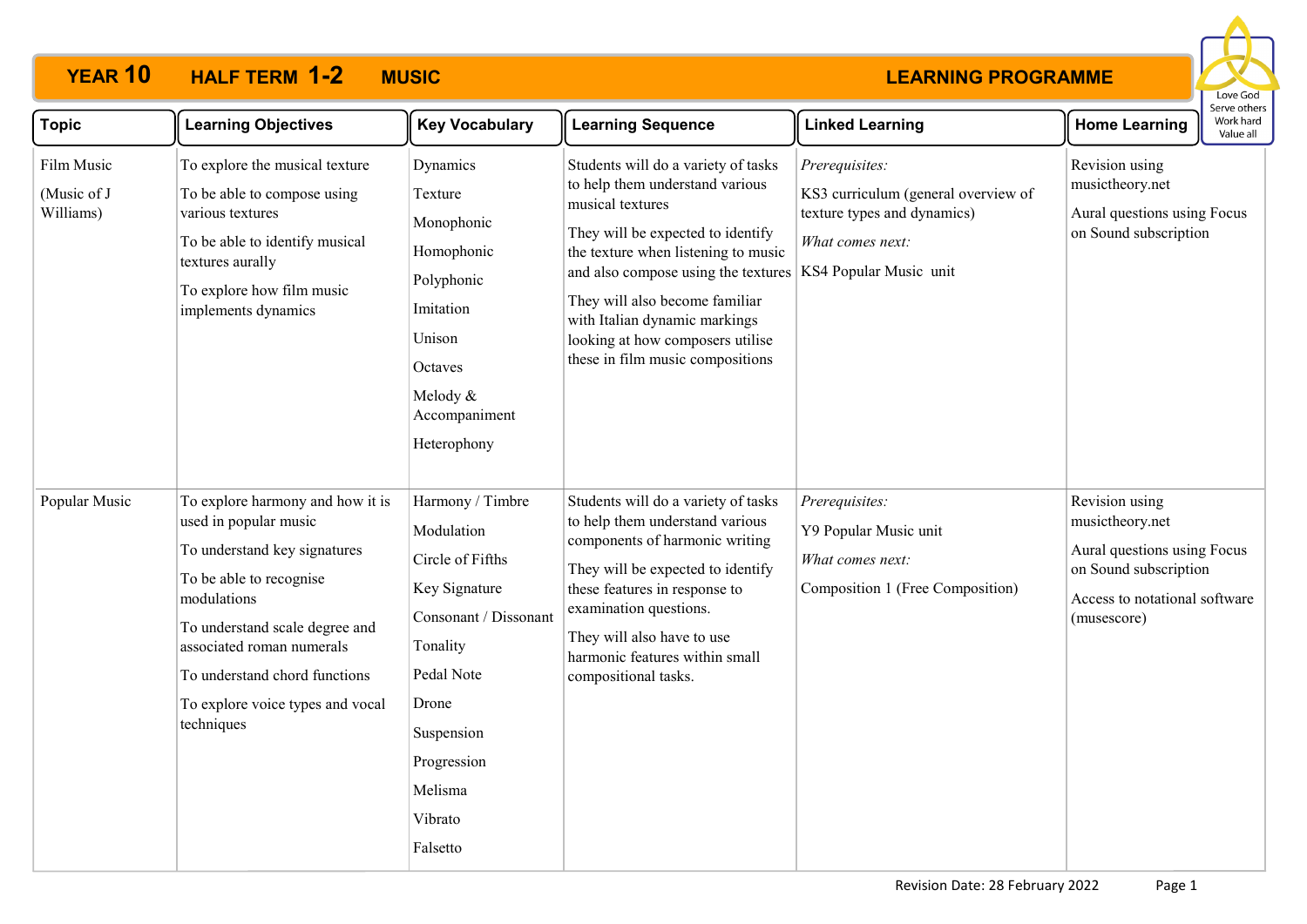# **YEAR 10 HALF TERM MUSIC 1-2**

#### **LEARNING PROGRAMME**



| <b>Topic</b>                           | <b>Learning Objectives</b>                                                                                                                                                                                                                                                            | <b>Key Vocabulary</b>                                                                                                                                                                          | <b>Learning Sequence</b>                                                                                                                                                                                                                                                                                                                                                          | <b>Linked Learning</b>                                                                                   | <b>Home Learning</b>                                                                                                                      | כו אב חיווכו א<br>Work hard<br>Value all |
|----------------------------------------|---------------------------------------------------------------------------------------------------------------------------------------------------------------------------------------------------------------------------------------------------------------------------------------|------------------------------------------------------------------------------------------------------------------------------------------------------------------------------------------------|-----------------------------------------------------------------------------------------------------------------------------------------------------------------------------------------------------------------------------------------------------------------------------------------------------------------------------------------------------------------------------------|----------------------------------------------------------------------------------------------------------|-------------------------------------------------------------------------------------------------------------------------------------------|------------------------------------------|
| Film Music<br>(Music of J<br>Williams) | To explore the musical texture<br>To be able to compose using<br>various textures<br>To be able to identify musical<br>textures aurally<br>To explore how film music<br>implements dynamics                                                                                           | Dynamics<br>Texture<br>Monophonic<br>Homophonic<br>Polyphonic<br>Imitation<br>Unison<br>Octaves<br>Melody &<br>Accompaniment<br>Heterophony                                                    | Students will do a variety of tasks<br>to help them understand various<br>musical textures<br>They will be expected to identify<br>the texture when listening to music<br>and also compose using the textures   KS4 Popular Music unit<br>They will also become familiar<br>with Italian dynamic markings<br>looking at how composers utilise<br>these in film music compositions | Prerequisites:<br>KS3 curriculum (general overview of<br>texture types and dynamics)<br>What comes next: | Revision using<br>musictheory.net<br>Aural questions using Focus<br>on Sound subscription                                                 |                                          |
| Popular Music                          | To explore harmony and how it is<br>used in popular music<br>To understand key signatures<br>To be able to recognise<br>modulations<br>To understand scale degree and<br>associated roman numerals<br>To understand chord functions<br>To explore voice types and vocal<br>techniques | Harmony / Timbre<br>Modulation<br>Circle of Fifths<br>Key Signature<br>Consonant / Dissonant<br>Tonality<br>Pedal Note<br>Drone<br>Suspension<br>Progression<br>Melisma<br>Vibrato<br>Falsetto | Students will do a variety of tasks<br>to help them understand various<br>components of harmonic writing<br>They will be expected to identify<br>these features in response to<br>examination questions.<br>They will also have to use<br>harmonic features within small<br>compositional tasks.                                                                                  | Prerequisites:<br>Y9 Popular Music unit<br>What comes next:<br>Composition 1 (Free Composition)          | Revision using<br>musictheory.net<br>Aural questions using Focus<br>on Sound subscription<br>Access to notational software<br>(musescore) |                                          |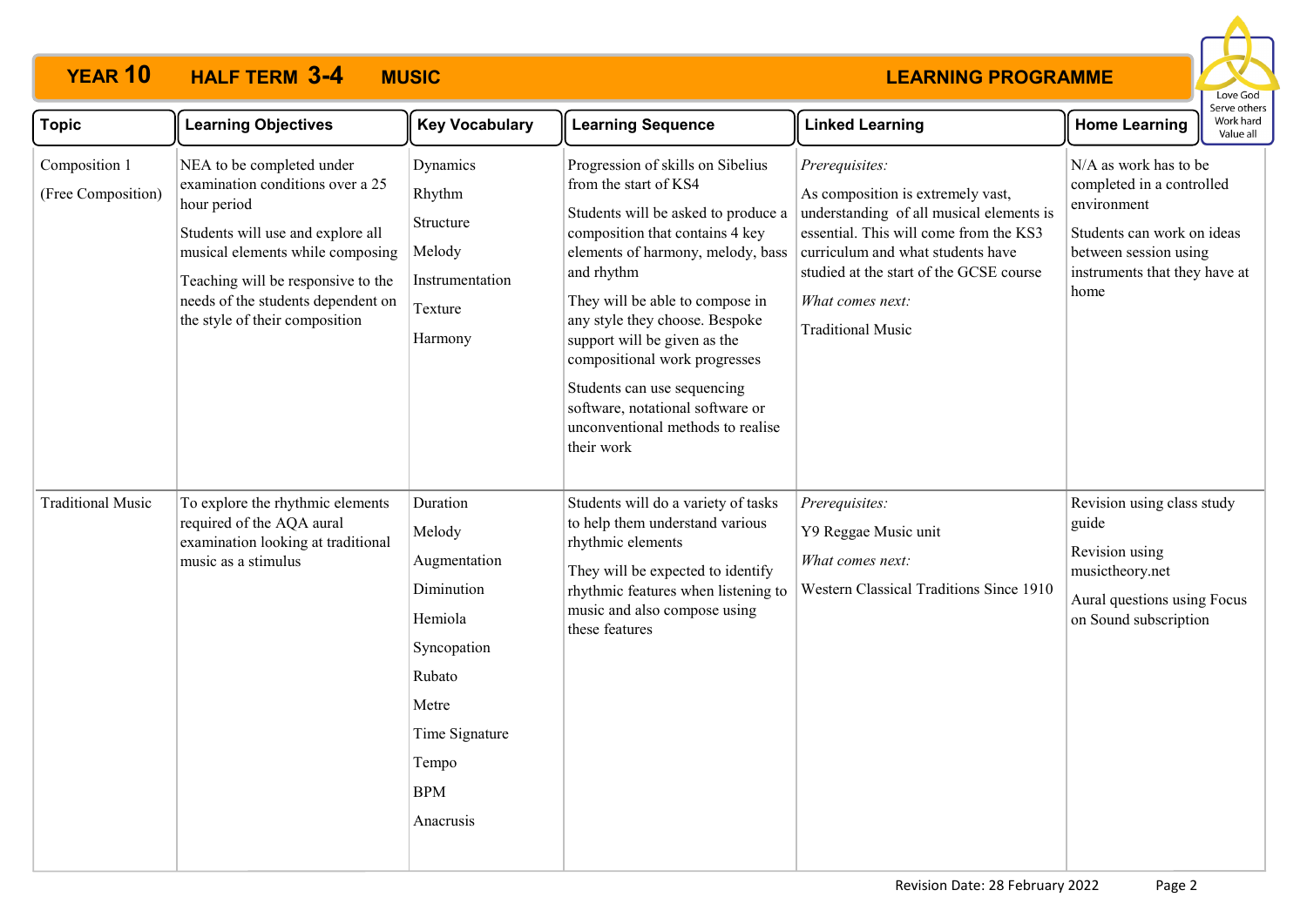# **YEAR 10 HALF TERM MUSIC 3-4**

#### **LEARNING PROGRAMME**



| <b>Topic</b>                        | <b>Learning Objectives</b>                                                                                                                                                                                                                                          | <b>Key Vocabulary</b>                                                                                                                               | <b>Learning Sequence</b>                                                                                                                                                                                                                                                                                                                                                                                                                            | <b>Linked Learning</b>                                                                                                                                                                                                                                                    | Serve others<br>Work hard<br><b>Home Learning</b><br>Value all                                                                                                    |
|-------------------------------------|---------------------------------------------------------------------------------------------------------------------------------------------------------------------------------------------------------------------------------------------------------------------|-----------------------------------------------------------------------------------------------------------------------------------------------------|-----------------------------------------------------------------------------------------------------------------------------------------------------------------------------------------------------------------------------------------------------------------------------------------------------------------------------------------------------------------------------------------------------------------------------------------------------|---------------------------------------------------------------------------------------------------------------------------------------------------------------------------------------------------------------------------------------------------------------------------|-------------------------------------------------------------------------------------------------------------------------------------------------------------------|
| Composition 1<br>(Free Composition) | NEA to be completed under<br>examination conditions over a 25<br>hour period<br>Students will use and explore all<br>musical elements while composing<br>Teaching will be responsive to the<br>needs of the students dependent on<br>the style of their composition | Dynamics<br>Rhythm<br>Structure<br>Melody<br>Instrumentation<br>Texture<br>Harmony                                                                  | Progression of skills on Sibelius<br>from the start of KS4<br>Students will be asked to produce a<br>composition that contains 4 key<br>elements of harmony, melody, bass<br>and rhythm<br>They will be able to compose in<br>any style they choose. Bespoke<br>support will be given as the<br>compositional work progresses<br>Students can use sequencing<br>software, notational software or<br>unconventional methods to realise<br>their work | Prerequisites:<br>As composition is extremely vast,<br>understanding of all musical elements is<br>essential. This will come from the KS3<br>curriculum and what students have<br>studied at the start of the GCSE course<br>What comes next:<br><b>Traditional Music</b> | N/A as work has to be<br>completed in a controlled<br>environment<br>Students can work on ideas<br>between session using<br>instruments that they have at<br>home |
| <b>Traditional Music</b>            | To explore the rhythmic elements<br>required of the AQA aural<br>examination looking at traditional<br>music as a stimulus                                                                                                                                          | Duration<br>Melody<br>Augmentation<br>Diminution<br>Hemiola<br>Syncopation<br>Rubato<br>Metre<br>Time Signature<br>Tempo<br><b>BPM</b><br>Anacrusis | Students will do a variety of tasks<br>to help them understand various<br>rhythmic elements<br>They will be expected to identify<br>rhythmic features when listening to<br>music and also compose using<br>these features                                                                                                                                                                                                                           | Prerequisites:<br>Y9 Reggae Music unit<br>What comes next:<br>Western Classical Traditions Since 1910                                                                                                                                                                     | Revision using class study<br>guide<br>Revision using<br>musictheory.net<br>Aural questions using Focus<br>on Sound subscription                                  |